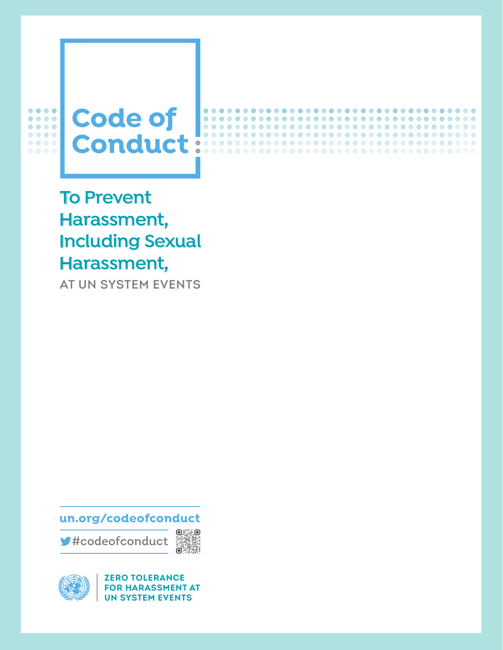

 $\blacksquare$ 

.........

.................

.....................

................................

................................

.................................

**To Prevent Harassment, Including Sexual Harassment,**

AT UN SYSTEM EVENTS

**un.org/codeofconduct**

#codeofconduct





**ZERO TOLERANCE FOR HARASSMENT AT UN SYSTEM EVENTS**